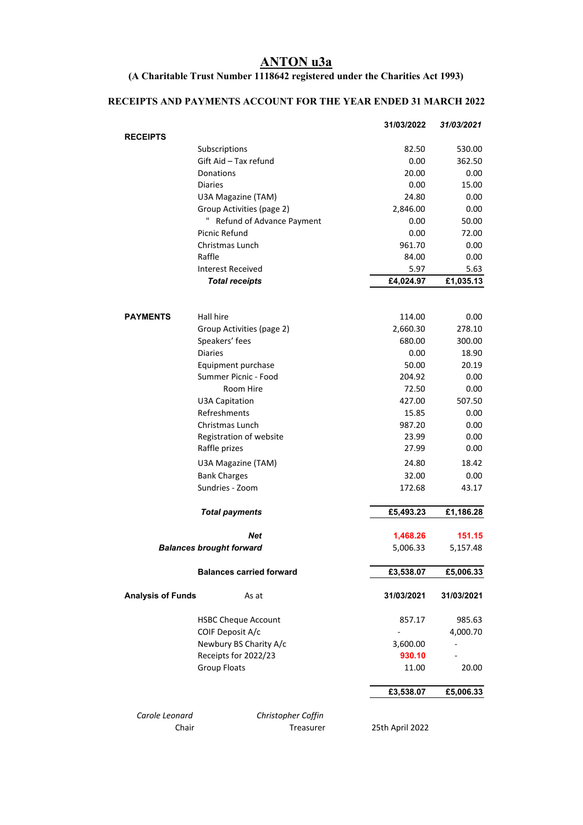#### **ANTON u3a**

#### **(A Charitable Trust Number 1118642 registered under the Charities Act 1993)**

### **RECEIPTS AND PAYMENTS ACCOUNT FOR THE YEAR ENDED 31 MARCH 2022**

|                          |                                                        | 31/03/2022       | 31/03/2021    |
|--------------------------|--------------------------------------------------------|------------------|---------------|
| <b>RECEIPTS</b>          |                                                        |                  |               |
|                          | Subscriptions                                          | 82.50            | 530.00        |
|                          | Gift Aid - Tax refund                                  | 0.00             | 362.50        |
|                          | Donations                                              | 20.00<br>0.00    | 0.00<br>15.00 |
|                          | <b>Diaries</b>                                         |                  |               |
|                          | U3A Magazine (TAM)                                     | 24.80            | 0.00<br>0.00  |
|                          | Group Activities (page 2)<br>Refund of Advance Payment | 2,846.00<br>0.00 | 50.00         |
|                          | Picnic Refund                                          | 0.00             | 72.00         |
|                          | Christmas Lunch                                        | 961.70           | 0.00          |
|                          | Raffle                                                 | 84.00            | 0.00          |
|                          | Interest Received                                      | 5.97             | 5.63          |
|                          | <b>Total receipts</b>                                  | £4,024.97        | £1,035.13     |
|                          |                                                        |                  |               |
| <b>PAYMENTS</b>          | Hall hire                                              | 114.00           | 0.00          |
|                          | Group Activities (page 2)                              | 2,660.30         | 278.10        |
|                          | Speakers' fees                                         | 680.00           | 300.00        |
|                          | <b>Diaries</b>                                         | 0.00             | 18.90         |
|                          | Equipment purchase                                     | 50.00            | 20.19         |
|                          | Summer Picnic - Food                                   | 204.92           | 0.00          |
|                          | Room Hire                                              | 72.50            | 0.00          |
|                          | <b>U3A Capitation</b>                                  | 427.00           | 507.50        |
|                          | Refreshments                                           | 15.85            | 0.00          |
|                          | Christmas Lunch                                        | 987.20           | 0.00          |
|                          | Registration of website                                | 23.99            | 0.00          |
|                          | Raffle prizes                                          | 27.99            | 0.00          |
|                          | U3A Magazine (TAM)                                     | 24.80            | 18.42         |
|                          | <b>Bank Charges</b>                                    | 32.00            | 0.00          |
|                          | Sundries - Zoom                                        | 172.68           | 43.17         |
|                          | <b>Total payments</b>                                  | £5,493.23        | £1,186.28     |
|                          | Net                                                    | 1,468.26         | 151.15        |
|                          | <b>Balances brought forward</b>                        | 5,006.33         | 5,157.48      |
|                          | <b>Balances carried forward</b>                        | £3,538.07        | £5,006.33     |
| <b>Analysis of Funds</b> | As at                                                  | 31/03/2021       | 31/03/2021    |
|                          | <b>HSBC Cheque Account</b>                             | 857.17           | 985.63        |
|                          | COIF Deposit A/c                                       |                  | 4,000.70      |
|                          | Newbury BS Charity A/c                                 | 3,600.00         |               |
|                          | Receipts for 2022/23                                   | 930.10           |               |
|                          | <b>Group Floats</b>                                    | 11.00            | 20.00         |
|                          |                                                        | £3,538.07        | £5,006.33     |
| Carole Leonard           | Christopher Coffin                                     |                  |               |
| Chair                    | Treasurer                                              | 25th April 2022  |               |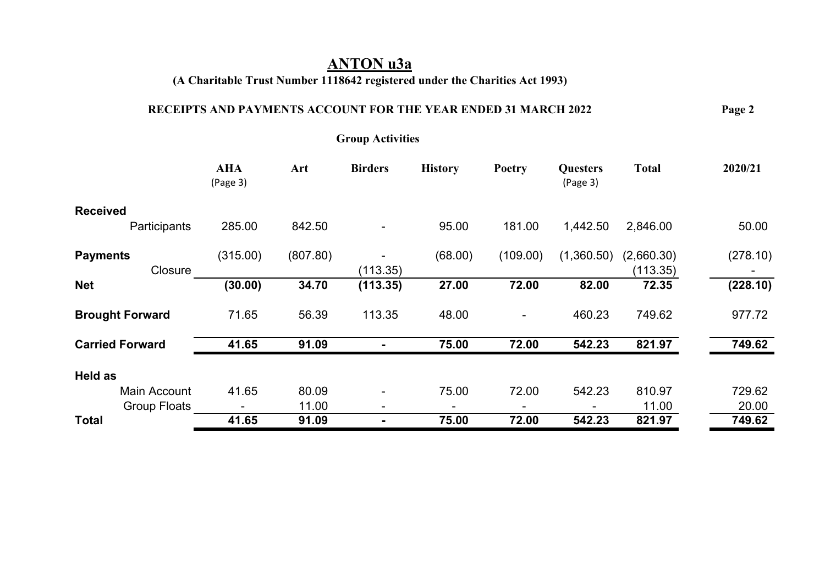## **ANTON u3a**

## **(A Charitable Trust Number 1118642 registered under the Charities Act 1993)**

### **RECEIPTS AND PAYMENTS ACCOUNT FOR THE YEAR ENDED 31 MARCH 2022 Page 2**

**Group Activities** 

|                            | <b>AHA</b><br>(Page 3) | Art      | <b>Birders</b>           | <b>History</b> | <b>Poetry</b> | <b>Questers</b><br>(Page 3) | <b>Total</b>           | 2020/21  |
|----------------------------|------------------------|----------|--------------------------|----------------|---------------|-----------------------------|------------------------|----------|
| <b>Received</b>            |                        |          |                          |                |               |                             |                        |          |
| Participants               | 285.00                 | 842.50   | $\blacksquare$           | 95.00          | 181.00        | 1,442.50                    | 2,846.00               | 50.00    |
| <b>Payments</b><br>Closure | (315.00)               | (807.80) | (113.35)                 | (68.00)        | (109.00)      | (1,360.50)                  | (2,660.30)<br>(113.35) | (278.10) |
| <b>Net</b>                 | (30.00)                | 34.70    | (113.35)                 | 27.00          | 72.00         | 82.00                       | 72.35                  | (228.10) |
| <b>Brought Forward</b>     | 71.65                  | 56.39    | 113.35                   | 48.00          |               | 460.23                      | 749.62                 | 977.72   |
| <b>Carried Forward</b>     | 41.65                  | 91.09    |                          | 75.00          | 72.00         | 542.23                      | 821.97                 | 749.62   |
| Held as                    |                        |          |                          |                |               |                             |                        |          |
| Main Account               | 41.65                  | 80.09    | ۰                        | 75.00          | 72.00         | 542.23                      | 810.97                 | 729.62   |
| <b>Group Floats</b>        |                        | 11.00    | $\overline{\phantom{0}}$ |                | -             |                             | 11.00                  | 20.00    |
| <b>Total</b>               | 41.65                  | 91.09    | $\blacksquare$           | 75.00          | 72.00         | 542.23                      | 821.97                 | 749.62   |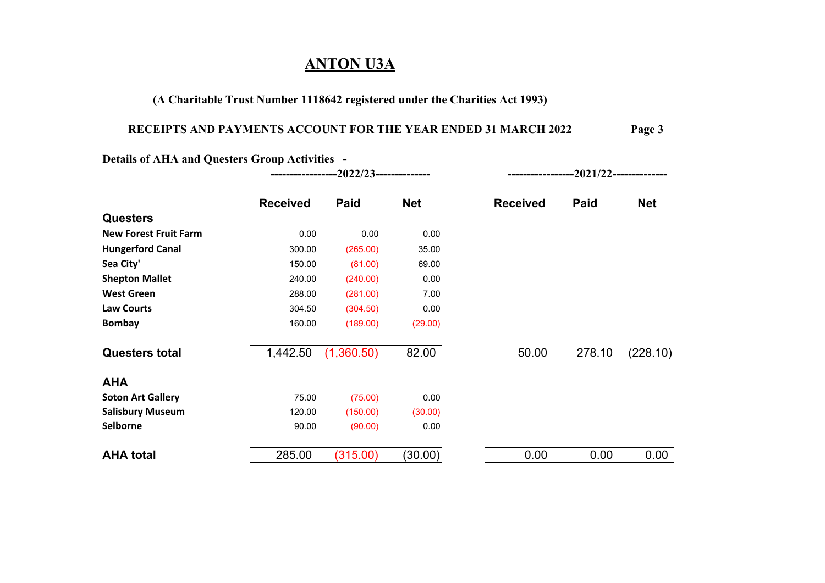## **ANTON U3A**

#### **(A Charitable Trust Number 1118642 registered under the Charities Act 1993)**

### **RECEIPTS AND PAYMENTS ACCOUNT FOR THE YEAR ENDED 31 MARCH 2022 Page 3**

**Details of AHA and Questers Group Activities - -----------------2022/23-------------- -----------------2021/22--------------**

|                              | <b>Received</b> | Paid       | <b>Net</b> | <b>Received</b> | Paid   | <b>Net</b> |
|------------------------------|-----------------|------------|------------|-----------------|--------|------------|
| <b>Questers</b>              |                 |            |            |                 |        |            |
| <b>New Forest Fruit Farm</b> | 0.00            | 0.00       | 0.00       |                 |        |            |
| <b>Hungerford Canal</b>      | 300.00          | (265.00)   | 35.00      |                 |        |            |
| Sea City'                    | 150.00          | (81.00)    | 69.00      |                 |        |            |
| <b>Shepton Mallet</b>        | 240.00          | (240.00)   | 0.00       |                 |        |            |
| <b>West Green</b>            | 288.00          | (281.00)   | 7.00       |                 |        |            |
| <b>Law Courts</b>            | 304.50          | (304.50)   | 0.00       |                 |        |            |
| <b>Bombay</b>                | 160.00          | (189.00)   | (29.00)    |                 |        |            |
| <b>Questers total</b>        | 1,442.50        | (1,360.50) | 82.00      | 50.00           | 278.10 | (228.10)   |
| <b>AHA</b>                   |                 |            |            |                 |        |            |
| <b>Soton Art Gallery</b>     | 75.00           | (75.00)    | 0.00       |                 |        |            |
| <b>Salisbury Museum</b>      | 120.00          | (150.00)   | (30.00)    |                 |        |            |
| <b>Selborne</b>              | 90.00           | (90.00)    | 0.00       |                 |        |            |
| <b>AHA</b> total             | 285.00          | (315.00)   | (30.00)    | 0.00            | 0.00   | 0.00       |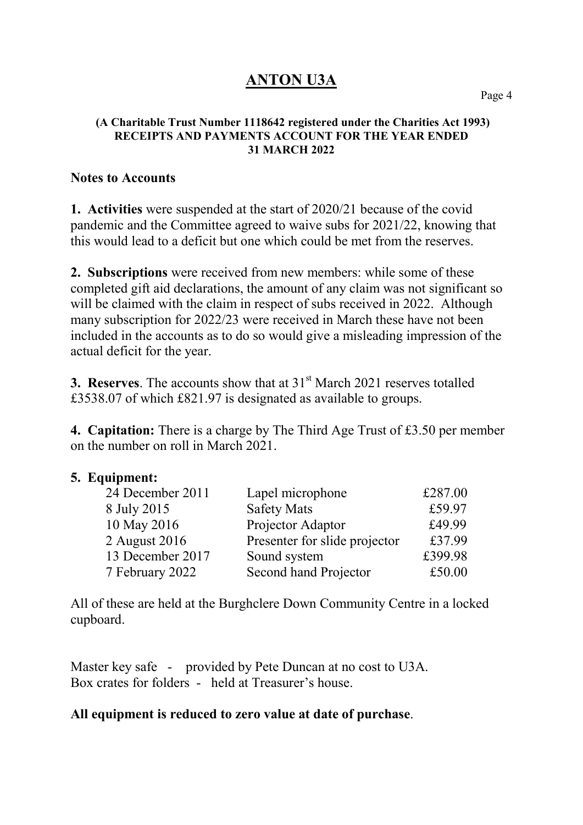# **ANTON U3A**

#### **(A Charitable Trust Number 1118642 registered under the Charities Act 1993) RECEIPTS AND PAYMENTS ACCOUNT FOR THE YEAR ENDED 31 MARCH 2022**

### **Notes to Accounts**

**1. Activities** were suspended at the start of 2020/21 because of the covid pandemic and the Committee agreed to waive subs for 2021/22, knowing that this would lead to a deficit but one which could be met from the reserves.

**2. Subscriptions** were received from new members: while some of these completed gift aid declarations, the amount of any claim was not significant so will be claimed with the claim in respect of subs received in 2022. Although many subscription for 2022/23 were received in March these have not been included in the accounts as to do so would give a misleading impression of the actual deficit for the year.

**3. Reserves.** The accounts show that at 31<sup>st</sup> March 2021 reserves totalled £3538.07 of which £821.97 is designated as available to groups.

**4. Capitation:** There is a charge by The Third Age Trust of £3.50 per member on the number on roll in March 2021.

## **5. Equipment:**

| 24 December 2011 | Lapel microphone              | £287.00 |
|------------------|-------------------------------|---------|
| 8 July 2015      | <b>Safety Mats</b>            | £59.97  |
| 10 May 2016      | Projector Adaptor             | £49.99  |
| 2 August 2016    | Presenter for slide projector | £37.99  |
| 13 December 2017 | Sound system                  | £399.98 |
| 7 February 2022  | Second hand Projector         | £50.00  |

All of these are held at the Burghclere Down Community Centre in a locked cupboard.

Master key safe - provided by Pete Duncan at no cost to U3A. Box crates for folders - held at Treasurer's house.

## **All equipment is reduced to zero value at date of purchase**.